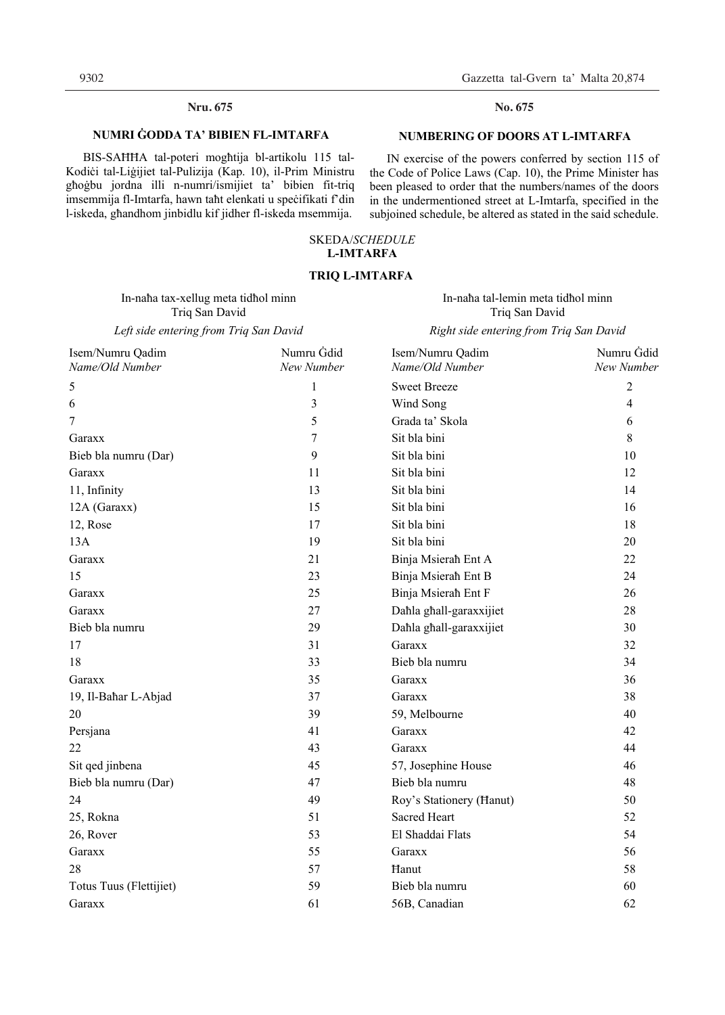## **Nru. 675 No. 675**

#### **NUMRI ĠODDA TA' BIBIEN FL-IMTARFA**

BIS-SAĦĦA tal-poteri mogħtija bl-artikolu 115 tal-Kodiċi tal-Liġijiet tal-Pulizija (Kap. 10), il-Prim Ministru għoġbu jordna illi n-numri/ismijiet ta' bibien fit-triq imsemmija fl-Imtarfa, hawn taħt elenkati u speċifikati f'din l-iskeda, għandhom jinbidlu kif jidher fl-iskeda msemmija.

IN exercise of the powers conferred by section 115 of the Code of Police Laws (Cap. 10), the Prime Minister has been pleased to order that the numbers/names of the doors in the undermentioned street at L-Imtarfa, specified in the subjoined schedule, be altered as stated in the said schedule.

#### SKEDA/*SCHEDULE*  **L-IMTARFA**

#### **TRIQ L-IMTARFA**

In-naħa tax-xellug meta tidħol minn Triq San David

In-naħa tal-lemin meta tidħol minn Triq San David

Left side entering from Triq San David **Right side entering from Triq San David** 

| Isem/Numru Qadim<br>Name/Old Number | Numru Gdid<br>New Number | Isem/Numru Qadim<br>Name/Old Number | Numru Gdid<br>New Number |
|-------------------------------------|--------------------------|-------------------------------------|--------------------------|
| 5                                   | 1                        | <b>Sweet Breeze</b>                 | $\overline{c}$           |
| 6                                   | 3                        | Wind Song                           | 4                        |
| 7                                   | 5                        | Grada ta' Skola                     | 6                        |
| Garaxx                              | 7                        | Sit bla bini                        | 8                        |
| Bieb bla numru (Dar)                | 9                        | Sit bla bini                        | 10                       |
| Garaxx                              | 11                       | Sit bla bini                        | 12                       |
| 11, Infinity                        | 13                       | Sit bla bini                        | 14                       |
| 12A (Garaxx)                        | 15                       | Sit bla bini                        | 16                       |
| 12, Rose                            | 17                       | Sit bla bini                        | 18                       |
| 13A                                 | 19                       | Sit bla bini                        | 20                       |
| Garaxx                              | 21                       | Binja Msierah Ent A                 | 22                       |
| 15                                  | 23                       | Binja Msierah Ent B                 | 24                       |
| Garaxx                              | 25                       | Binja Msierah Ent F                 | 26                       |
| Garaxx                              | 27                       | Dahla ghall-garaxxijiet             | 28                       |
| Bieb bla numru                      | 29                       | Dahla ghall-garaxxijiet             | 30                       |
| 17                                  | 31                       | Garaxx                              | 32                       |
| 18                                  | 33                       | Bieb bla numru                      | 34                       |
| Garaxx                              | 35                       | Garaxx                              | 36                       |
| 19, Il-Bahar L-Abjad                | 37                       | Garaxx                              | 38                       |
| 20                                  | 39                       | 59, Melbourne                       | 40                       |
| Persjana                            | 41                       | Garaxx                              | 42                       |
| 22                                  | 43                       | Garaxx                              | 44                       |
| Sit qed jinbena                     | 45                       | 57, Josephine House                 | 46                       |
| Bieb bla numru (Dar)                | 47                       | Bieb bla numru                      | 48                       |
| 24                                  | 49                       | Roy's Stationery (Hanut)            | 50                       |
| 25, Rokna                           | 51                       | <b>Sacred Heart</b>                 | 52                       |
| 26, Rover                           | 53                       | El Shaddai Flats                    | 54                       |
| Garaxx                              | 55                       | Garaxx                              | 56                       |
| 28                                  | 57                       | Hanut                               | 58                       |
| Totus Tuus (Flettijiet)             | 59                       | Bieb bla numru                      | 60                       |
| Garaxx                              | 61                       | 56B, Canadian                       | 62                       |

#### **No.**

#### **NUMBERING OF DOORS AT L-IMTARFA**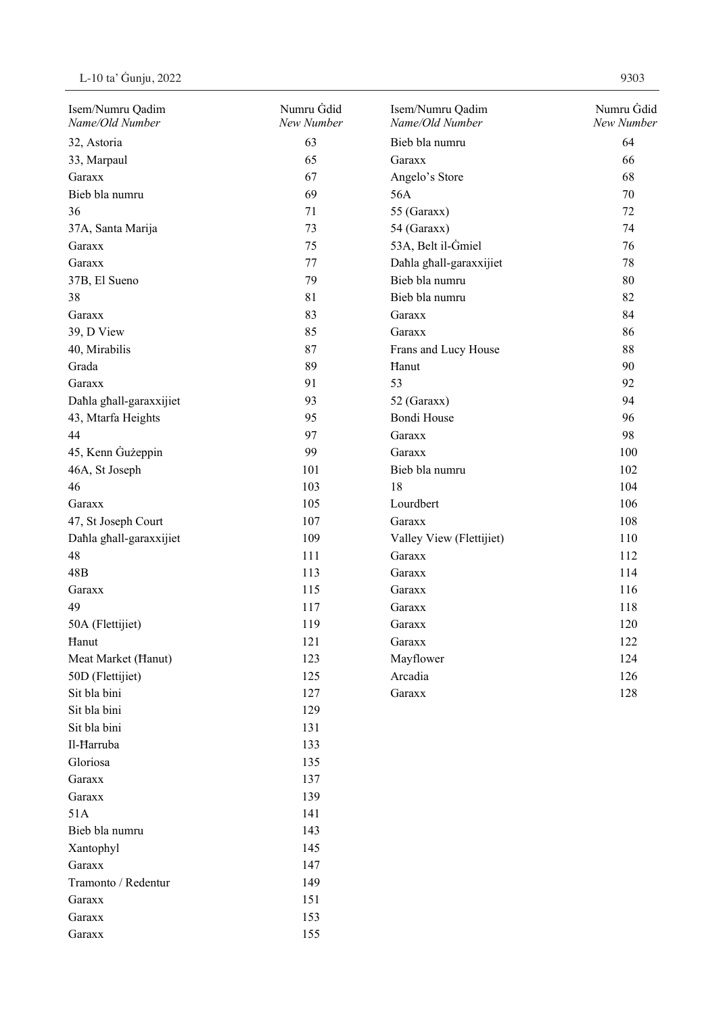Garaxx 155

| Isem/Numru Qadim<br>Name/Old Number | Numru Gdid<br>New Number | Isem/Numru Qadim<br>Name/Old Number | Numru Gdid<br>New Number |
|-------------------------------------|--------------------------|-------------------------------------|--------------------------|
| 32, Astoria                         | 63                       | Bieb bla numru                      | 64                       |
| 33, Marpaul                         | 65                       | Garaxx                              | 66                       |
| Garaxx                              | 67                       | Angelo's Store                      | 68                       |
| Bieb bla numru                      | 69                       | 56A                                 | 70                       |
| 36                                  | 71                       | 55 (Garaxx)                         | 72                       |
| 37A, Santa Marija                   | 73                       | 54 (Garaxx)                         | 74                       |
| Garaxx                              | 75                       | 53A, Belt il-Gmiel                  | 76                       |
| Garaxx                              | 77                       | Dahla ghall-garaxxijiet             | 78                       |
| 37B, El Sueno                       | 79                       | Bieb bla numru                      | 80                       |
| 38                                  | 81                       | Bieb bla numru                      | 82                       |
| Garaxx                              | 83                       | Garaxx                              | 84                       |
| 39, D View                          | 85                       | Garaxx                              | 86                       |
| 40, Mirabilis                       | 87                       | Frans and Lucy House                | 88                       |
| Grada                               | 89                       | Hanut                               | 90                       |
| Garaxx                              | 91                       | 53                                  | 92                       |
| Dahla ghall-garaxxijiet             | 93                       | 52 (Garaxx)                         | 94                       |
| 43, Mtarfa Heights                  | 95                       | Bondi House                         | 96                       |
| 44                                  | 97                       | Garaxx                              | 98                       |
| 45, Kenn Gużeppin                   | 99                       | Garaxx                              | 100                      |
| 46A, St Joseph                      | 101                      | Bieb bla numru                      | 102                      |
| 46                                  | 103                      | 18                                  | 104                      |
| Garaxx                              | 105                      | Lourdbert                           | 106                      |
| 47, St Joseph Court                 | 107                      | Garaxx                              | 108                      |
| Dahla ghall-garaxxijiet             | 109                      | Valley View (Flettijiet)            | 110                      |
| 48                                  | 111                      | Garaxx                              | 112                      |
| 48B                                 | 113                      | Garaxx                              | 114                      |
| Garaxx                              | 115                      | Garaxx                              | 116                      |
| 49                                  | 117                      | Garaxx                              | 118                      |
| 50A (Flettijiet)                    | 119                      | Garaxx                              | 120                      |
| Hanut                               | 121                      | Garaxx                              | 122                      |
| Meat Market (Hanut)                 | 123                      | Mayflower                           | 124                      |
| 50D (Flettijiet)                    | 125                      | Arcadia                             | 126                      |
| Sit bla bini                        | 127                      | Garaxx                              | 128                      |
| Sit bla bini                        | 129                      |                                     |                          |
| Sit bla bini                        | 131                      |                                     |                          |
| Il-Harruba                          | 133                      |                                     |                          |
| Gloriosa                            | 135                      |                                     |                          |
| Garaxx                              | 137                      |                                     |                          |
| Garaxx                              | 139                      |                                     |                          |
| 51A                                 | 141                      |                                     |                          |
| Bieb bla numru                      | 143                      |                                     |                          |
| Xantophyl                           | 145                      |                                     |                          |
| Garaxx                              | 147                      |                                     |                          |
| Tramonto / Redentur                 | 149                      |                                     |                          |
| Garaxx                              | 151                      |                                     |                          |
| Garaxx                              | 153                      |                                     |                          |
|                                     |                          |                                     |                          |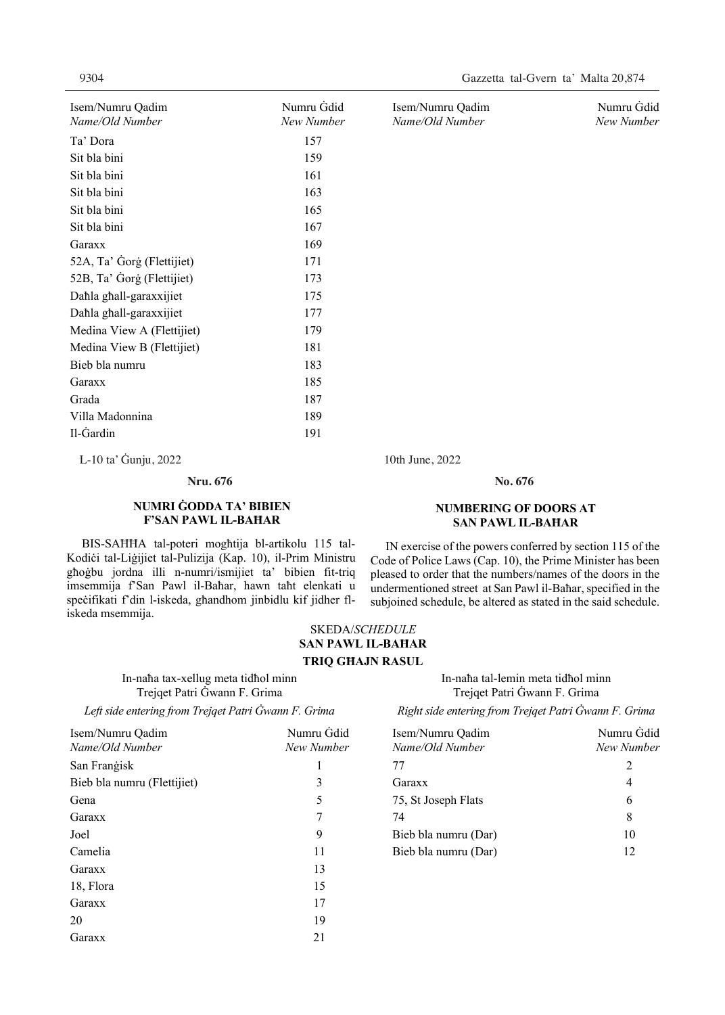| Isem/Numru Qadim           | Numru Gdid | Isem/Numru Qadim | Numru Gdid |
|----------------------------|------------|------------------|------------|
| Name/Old Number            | New Number | Name/Old Number  | New Number |
| Ta' Dora                   | 157        |                  |            |
| Sit bla bini               | 159        |                  |            |
| Sit bla bini               | 161        |                  |            |
| Sit bla bini               | 163        |                  |            |
| Sit bla bini               | 165        |                  |            |
| Sit bla bini               | 167        |                  |            |
| Garaxx                     | 169        |                  |            |
| 52A, Ta' Gorg (Flettijiet) | 171        |                  |            |
| 52B, Ta' Gorg (Flettijiet) | 173        |                  |            |
| Dahla ghall-garaxxijiet    | 175        |                  |            |
| Dahla ghall-garaxxijiet    | 177        |                  |            |
| Medina View A (Flettijiet) | 179        |                  |            |
| Medina View B (Flettijiet) | 181        |                  |            |
| Bieb bla numru             | 183        |                  |            |
| Garaxx                     | 185        |                  |            |
| Grada                      | 187        |                  |            |
| Villa Madonnina            | 189        |                  |            |
| Il-Gardin                  | 191        |                  |            |

L-10 ta' Ġunju, 2022 10th June, 2022 L-10 ta' Ġunju, 2022 10th June, 2022

#### **NUMRI ĠODDA TA' BIBIEN F'SAN PAWL IL-BAĦAR**

 BIS-SAĦĦA tal-poteri mogħtija bl-artikolu 115 tal-Kodiċi tal-Liġijiet tal-Pulizija (Kap. 10), il-Prim Ministru għoġbu jordna illi n-numri/ismijiet ta' bibien fit-triq imsemmija f'San Pawl il-Baħar, hawn taħt elenkati u speċifikati f'din l-iskeda, għandhom jinbidlu kif jidher fliskeda msemmija.

#### **Nru. 676 No. 676 No.**

#### **NUMBERING OF DOORS AT SAN PAWL IL-BAĦAR**

 IN exercise of the powers conferred by section 115 of the Code of Police Laws (Cap. 10), the Prime Minister has been pleased to order that the numbers/names of the doors in the undermentioned street at San Pawl il-Baħar, specified in the subjoined schedule, be altered as stated in the said schedule.

#### SKEDA/*SCHEDULE*  **SAN PAWL IL-BAĦAR TRIQ GĦAJN RASUL**

In-naħa tax-xellug meta tidħol minn Trejqet Patri Ġwann F. Grima

Left side entering from Trejqet Patri Ġwann F. Grima Right side entering from Trejqet Patri Ġwann F. Grima

## In-naħa tal-lemin meta tidħol minn Trejqet Patri Ġwann F. Grima

| Isem/Numru Qadim<br>Name/Old Number | Numru Gdid<br>New Number | Isem/Numru Qadim<br>Name/Old Number | Numru Gdid<br>New Number |
|-------------------------------------|--------------------------|-------------------------------------|--------------------------|
| San Frangisk                        |                          | 77                                  |                          |
| Bieb bla numru (Flettijiet)         |                          | Garaxx                              |                          |
| Gena                                |                          | 75, St Joseph Flats                 | b                        |
| Garaxx                              |                          | 74                                  | 8                        |
| Joel                                | 9                        | Bieb bla numru (Dar)                | 10                       |
| Camelia                             | 11                       | Bieb bla numru (Dar)                | 12                       |
| Garaxx                              | 13                       |                                     |                          |
| 18, Flora                           | 15                       |                                     |                          |
| Garaxx                              | 17                       |                                     |                          |
| 20                                  | 19                       |                                     |                          |
| Garaxx                              | 21                       |                                     |                          |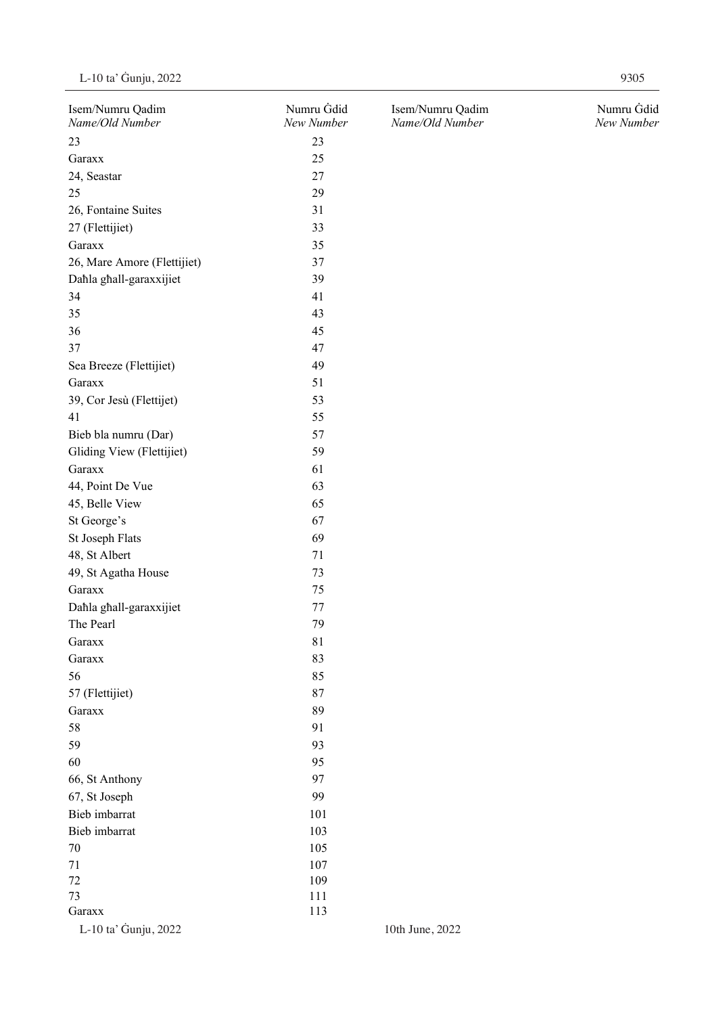| Isem/Numru Qadim<br>Name/Old Number | Numru Gdid<br>New Number | Isem/Numru Qadim<br>Name/Old Number | Numru Gdid<br>New Number |
|-------------------------------------|--------------------------|-------------------------------------|--------------------------|
| 23                                  | 23                       |                                     |                          |
| Garaxx                              | 25                       |                                     |                          |
| 24, Seastar                         | 27                       |                                     |                          |
| 25                                  | 29                       |                                     |                          |
| 26, Fontaine Suites                 | 31                       |                                     |                          |
| 27 (Flettijiet)                     | 33                       |                                     |                          |
| Garaxx                              | 35                       |                                     |                          |
| 26, Mare Amore (Flettijiet)         | 37                       |                                     |                          |
| Dahla ghall-garaxxijiet             | 39                       |                                     |                          |
| 34                                  | 41                       |                                     |                          |
| 35                                  | 43                       |                                     |                          |
| 36                                  | 45                       |                                     |                          |
| 37                                  | 47                       |                                     |                          |
| Sea Breeze (Flettijiet)             | 49                       |                                     |                          |
| Garaxx                              | 51                       |                                     |                          |
| 39, Cor Jesù (Flettijet)            | 53                       |                                     |                          |
| 41                                  | 55                       |                                     |                          |
| Bieb bla numru (Dar)                | 57                       |                                     |                          |
|                                     |                          |                                     |                          |
| Gliding View (Flettijiet)           | 59                       |                                     |                          |
| Garaxx                              | 61                       |                                     |                          |
| 44, Point De Vue                    | 63                       |                                     |                          |
| 45, Belle View                      | 65                       |                                     |                          |
| St George's                         | 67                       |                                     |                          |
| St Joseph Flats                     | 69                       |                                     |                          |
| 48, St Albert                       | 71                       |                                     |                          |
| 49, St Agatha House                 | 73                       |                                     |                          |
| Garaxx                              | 75                       |                                     |                          |
| Dahla ghall-garaxxijiet             | $77\,$                   |                                     |                          |
| The Pearl                           | 79                       |                                     |                          |
| Garaxx                              | 81                       |                                     |                          |
| Garaxx                              | 83                       |                                     |                          |
| 56                                  | 85                       |                                     |                          |
| 57 (Flettijiet)                     | 87                       |                                     |                          |
| Garaxx                              | 89                       |                                     |                          |
| 58                                  | 91                       |                                     |                          |
| 59                                  | 93                       |                                     |                          |
| 60                                  | 95                       |                                     |                          |
| 66, St Anthony                      | 97                       |                                     |                          |
| 67, St Joseph                       | 99                       |                                     |                          |
| Bieb imbarrat                       | 101                      |                                     |                          |
| Bieb imbarrat                       | 103                      |                                     |                          |
| $70\,$                              | 105                      |                                     |                          |
| 71                                  | 107                      |                                     |                          |
| $72\,$                              | 109                      |                                     |                          |
| 73                                  | 111                      |                                     |                          |
| Garaxx                              | 113                      |                                     |                          |
| L-10 ta' Gunju, 2022                |                          | 10th June, 2022                     |                          |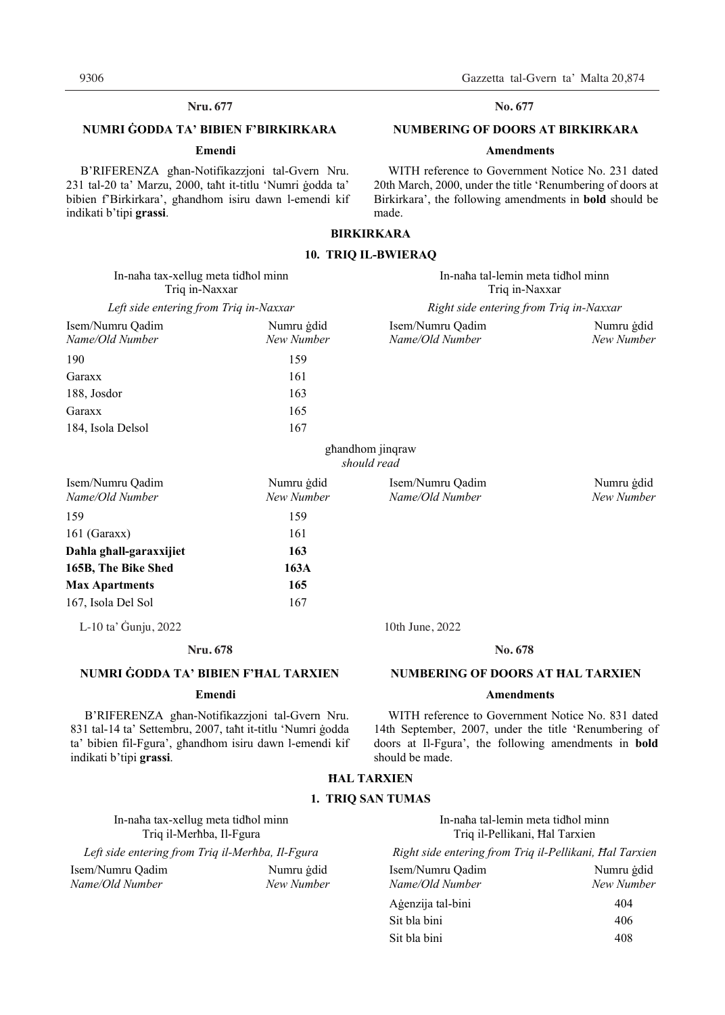#### **Nru. 677 No. 677**

#### **NUMRI ĠODDA TA' BIBIEN F'BIRKIRKARA**

#### **Emendi**

B'RIFERENZA għan-Notifikazzjoni tal-Gvern Nru. 231 tal-20 ta' Marzu, 2000, taħt it-titlu 'Numri ġodda ta' bibien f'Birkirkara', għandhom isiru dawn l-emendi kif indikati b'tipi **grassi**.

#### No. 677

#### **NUMBERING OF DOORS AT BIRKIRKARA**

#### **Amendments**

WITH reference to Government Notice No. 231 dated 20th March, 2000, under the title 'Renumbering of doors at Birkirkara', the following amendments in **bold** should be made.

#### **BIRKIRKARA**

#### **10. TRIQ IL-BWIERAQ**

| In-naha tax-xellug meta tidhol minn<br>Triq in-Naxxar<br>Left side entering from Triq in-Naxxar |                          | In-naha tal-lemin meta tidhol minn<br>Triq in-Naxxar<br>Right side entering from Triq in-Naxxar |                          |
|-------------------------------------------------------------------------------------------------|--------------------------|-------------------------------------------------------------------------------------------------|--------------------------|
|                                                                                                 |                          |                                                                                                 |                          |
| 190                                                                                             | 159                      |                                                                                                 |                          |
| Garaxx                                                                                          | 161                      |                                                                                                 |                          |
| 188, Josdor                                                                                     | 163                      |                                                                                                 |                          |
| Garaxx                                                                                          | 165                      |                                                                                                 |                          |
| 184, Isola Delsol                                                                               | 167                      |                                                                                                 |                          |
|                                                                                                 |                          | ghandhom jinqraw<br>should read                                                                 |                          |
| Isem/Numru Qadim<br>Name/Old Number                                                             | Numru gdid<br>New Number | Isem/Numru Qadim<br>Name/Old Number                                                             | Numru gdid<br>New Number |
| 159                                                                                             | 159                      |                                                                                                 |                          |
| $161$ (Garaxx)                                                                                  | 161                      |                                                                                                 |                          |
| Dahla ghall-garaxxijiet                                                                         | 163                      |                                                                                                 |                          |

L-10 ta' Ġunju, 2022 10th June, 2022 L-10 ta' Ġunju, 2022 10th June, 2022

**165B, The Bike Shed 163A Max Apartments 165**  167, Isola Del Sol 167

#### **NUMRI ĠODDA TA' BIBIEN F'ĦAL TARXIEN**

#### **Emendi**

B'RIFERENZA għan-Notifikazzjoni tal-Gvern Nru. 831 tal-14 ta' Settembru, 2007, taħt it-titlu 'Numri ġodda ta' bibien fil-Fgura', għandhom isiru dawn l-emendi kif indikati b'tipi **grassi**.

#### **Nru. 678 No. 678** No. 678

#### **NUMBERING OF DOORS AT ĦAL TARXIEN**

#### **Amendments**

WITH reference to Government Notice No. 831 dated 14th September, 2007, under the title 'Renumbering of doors at Il-Fgura', the following amendments in **bold** should be made.

#### **ĦAL TARXIEN**

#### **1. TRIQ SAN TUMAS**

In-naħa tax-xellug meta tidħol minn In-naħa tal-lemin meta tidħol minn

Left side entering from Triq il-Merħba, Il-Fgura

| Isem/Numru Qadim | Numru   |
|------------------|---------|
| Name/Old Number  | New Nui |

# Triq il-Merħba, Il-Fgura Triq il-Merħba, Il-Fgura Triq il-Merħba, Il-Fgura

| Left side entering from Triq il-Merhba, Il-Fgura |            | Right side entering from Triq il-Pellikani, Hal Tarxien |            |
|--------------------------------------------------|------------|---------------------------------------------------------|------------|
| Isem/Numru Oadim                                 | Numru gdid | Isem/Numru Oadim                                        | Numru gdid |
| Name/Old Number                                  | New Number | Name/Old Number                                         | New Number |
|                                                  |            | Agenzija tal-bini                                       | 404        |
|                                                  |            | Sit bla bini                                            | 406        |
|                                                  |            | Sit bla bini                                            | 408        |